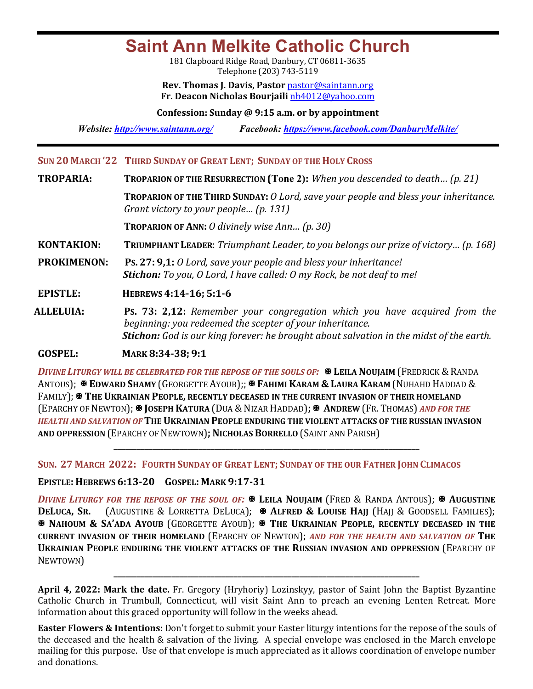# **Saint Ann Melkite Catholic Church**

181 Clapboard Ridge Road, Danbury, CT 06811-3635 Telephone (203) 743-5119

**Rev. Thomas J. Davis, Pastor** pastor@saintann.org **Fr. Deacon Nicholas Bourjaili** nb4012@yahoo.com

**Confession: Sunday @ 9:15 a.m. or by appointment**

*Website: http://www.saintann.org/ Facebook: https://www.facebook.com/DanburyMelkite/* 

## **SUN 20 MARCH '22 THIRD SUNDAY OF GREAT LENT; SUNDAY OF THE HOLY CROSS**

**TROPARIA: TROPARION OF THE RESURRECTION** (Tone 2): *When you descended to death...* (p. 21)

**TROPARION OF THE THIRD SUNDAY:** *O Lord, save your people and bless your inheritance. Grant victory to your people... (p. 131)* 

**TROPARION OF ANN:** *O* divinely wise Ann... (p. 30)

**KONTAKION: TRIUMPHANT LEADER:** *Triumphant Leader, to you belongs our prize of victory... (p. 168)* 

**PROKIMENON:** Ps. 27: 9,1: *O* Lord, save your people and bless your inheritance! **Stichon:** To you, O Lord, I have called: O my Rock, be not deaf to me!

**EPISTLE: HEBREWS 4:14-16; 5:1-6 ALLELUIA: PS. 73: 2.12:** Remembe

**Ps. 73: 2,12:** *Remember your congregation which you have acquired from the beginning:* you redeemed the scepter of your inheritance. **Stichon:** God is our king forever: he brought about salvation in the midst of the earth.

**GOSPEL: MARK 8:34-38; 9:1** 

*DIVINE LITURGY WILL BE CELEBRATED FOR THE REPOSE OF THE SOULS OF:*  $\mathbb{R}$  LEILA NOUJAIM (FREDRICK & RANDA ANTOUS); **E EDWARD SHAMY** (GEORGETTE AYOUB);; **E FAHIMI KARAM & LAURA KARAM** (NUHAHD HADDAD & FAMILY); <sup>\*</sup> THE UKRAINIAN PEOPLE, RECENTLY DECEASED IN THE CURRENT INVASION OF THEIR HOMELAND (EPARCHY OF NEWTON); X **JOSEPH KATURA** (DUA & NIZAR HADDAD)**;** X **ANDREW** (FR. THOMAS) *AND FOR THE HEALTH AND SALVATION OF* THE UKRAINIAN PEOPLE ENDURING THE VIOLENT ATTACKS OF THE RUSSIAN INVASION **AND OPPRESSION** (EPARCHY OF NEWTOWN)**; NICHOLAS BORRELLO** (SAINT ANN PARISH)

**\_\_\_\_\_\_\_\_\_\_\_\_\_\_\_\_\_\_\_\_\_\_\_\_\_\_\_\_\_\_\_\_\_\_\_\_\_\_\_\_\_\_\_\_\_\_\_\_\_\_\_\_\_\_\_\_\_\_\_\_\_\_\_\_\_\_\_\_\_\_\_\_\_\_\_\_\_\_\_**

**SUN. 27 MARCH 2022: FOURTH SUNDAY OF GREAT LENT; SUNDAY OF THE OUR FATHER JOHN CLIMACOS** 

### **EPISTLE: HEBREWS 6:13-20 GOSPEL: MARK 9:17-31**

*DIVINE LITURGY FOR THE REPOSE OF THE SOUL OF:*  $\mathbb{F}$  Leila Noujaim (Fred & Randa Antous);  $\mathbb{F}$  Augustine **DELUCA, SR.** (AUGUSTINE & LORRETTA DELUCA); **A ALFRED & LOUISE HAJJ** (HAJJ & GOODSELL FAMILIES); X **NAHOUM & SA'ADA AYOUB** (GEORGETTE AYOUB); X **THE UKRAINIAN PEOPLE, RECENTLY DECEASED IN THE CURRENT INVASION OF THEIR HOMELAND** (EPARCHY OF NEWTON); AND FOR THE HEALTH AND SALVATION OF THE **UKRAINIAN PEOPLE ENDURING THE VIOLENT ATTACKS OF THE RUSSIAN INVASION AND OPPRESSION (EPARCHY OF** NEWTOWN)

**April 4, 2022: Mark the date.** Fr. Gregory (Hryhoriy) Lozinskyy, pastor of Saint John the Baptist Byzantine Catholic Church in Trumbull, Connecticut, will visit Saint Ann to preach an evening Lenten Retreat. More information about this graced opportunity will follow in the weeks ahead.

**\_\_\_\_\_\_\_\_\_\_\_\_\_\_\_\_\_\_\_\_\_\_\_\_\_\_\_\_\_\_\_\_\_\_\_\_\_\_\_\_\_\_\_\_\_\_\_\_\_\_\_\_\_\_\_\_\_\_\_\_\_\_\_\_\_\_\_\_\_\_\_\_\_\_\_\_\_\_\_**

**Easter Flowers & Intentions:** Don't forget to submit your Easter liturgy intentions for the repose of the souls of the deceased and the health & salvation of the living. A special envelope was enclosed in the March envelope mailing for this purpose. Use of that envelope is much appreciated as it allows coordination of envelope number and donations.